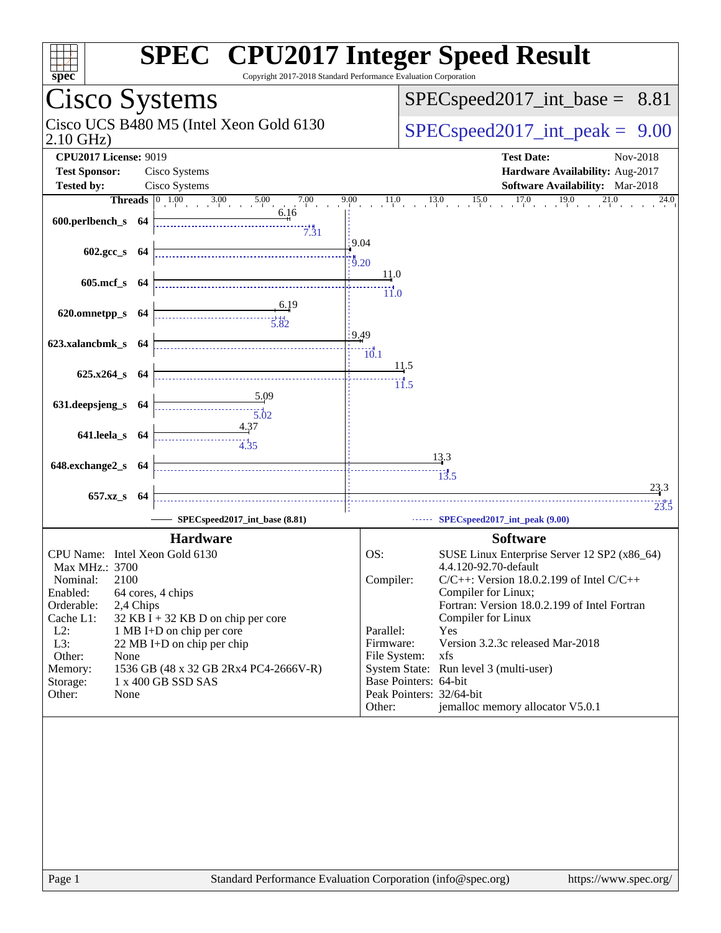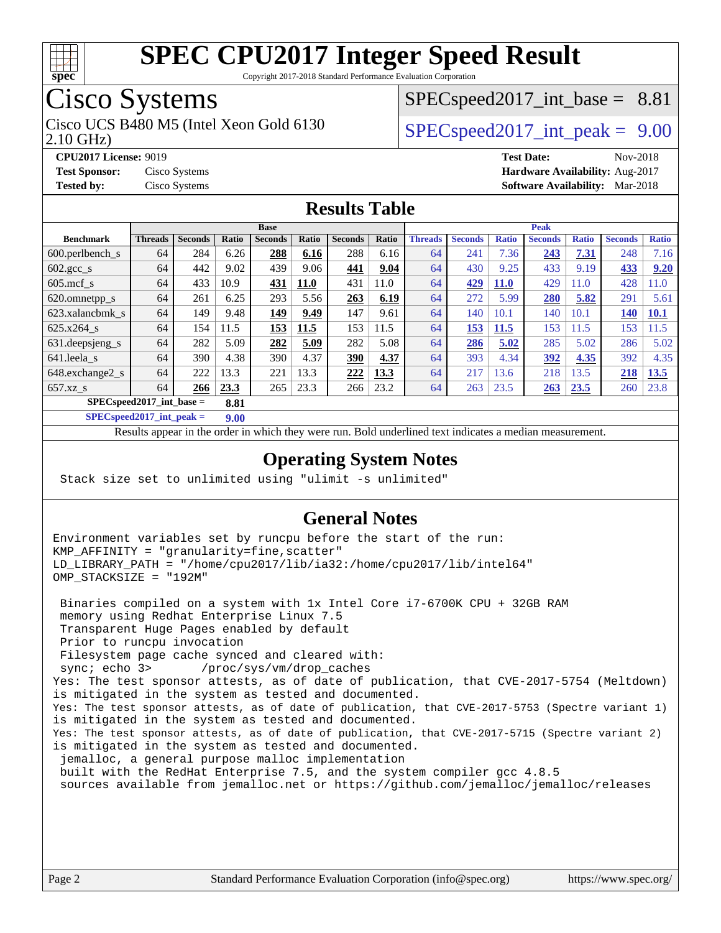

Copyright 2017-2018 Standard Performance Evaluation Corporation

## Cisco Systems

2.10 GHz) Cisco UCS B480 M5 (Intel Xeon Gold 6130  $SPECspeed2017$  int peak = 9.00

 $SPECspeed2017\_int\_base = 8.81$ 

**[CPU2017 License:](http://www.spec.org/auto/cpu2017/Docs/result-fields.html#CPU2017License)** 9019 **[Test Date:](http://www.spec.org/auto/cpu2017/Docs/result-fields.html#TestDate)** Nov-2018 **[Test Sponsor:](http://www.spec.org/auto/cpu2017/Docs/result-fields.html#TestSponsor)** Cisco Systems **[Hardware Availability:](http://www.spec.org/auto/cpu2017/Docs/result-fields.html#HardwareAvailability)** Aug-2017 **[Tested by:](http://www.spec.org/auto/cpu2017/Docs/result-fields.html#Testedby)** Cisco Systems **[Software Availability:](http://www.spec.org/auto/cpu2017/Docs/result-fields.html#SoftwareAvailability)** Mar-2018

#### **[Results Table](http://www.spec.org/auto/cpu2017/Docs/result-fields.html#ResultsTable)**

|                                     | <b>Base</b>    |                |       |                |             |                |       |                | <b>Peak</b>    |              |                |              |                |              |  |  |  |
|-------------------------------------|----------------|----------------|-------|----------------|-------------|----------------|-------|----------------|----------------|--------------|----------------|--------------|----------------|--------------|--|--|--|
| <b>Benchmark</b>                    | <b>Threads</b> | <b>Seconds</b> | Ratio | <b>Seconds</b> | Ratio       | <b>Seconds</b> | Ratio | <b>Threads</b> | <b>Seconds</b> | <b>Ratio</b> | <b>Seconds</b> | <b>Ratio</b> | <b>Seconds</b> | <b>Ratio</b> |  |  |  |
| 600.perlbench s                     | 64             | 284            | 6.26  | 288            | 6.16        | 288            | 6.16  | 64             | 241            | 7.36         | 243            | 7.31         | 248            | 7.16         |  |  |  |
| $602.\text{gcc s}$                  | 64             | 442            | 9.02  | 439            | 9.06        | 441            | 9.04  | 64             | 430            | 9.25         | 433            | 9.19         | 433            | 9.20         |  |  |  |
| $605$ .mcf s                        | 64             | 433            | 10.9  | 431            | <b>11.0</b> | 431            | 11.0  | 64             | 429            | <b>11.0</b>  | 429            | 11.0         | 428            | 11.0         |  |  |  |
| 620.omnetpp_s                       | 64             | 261            | 6.25  | 293            | 5.56        | 263            | 6.19  | 64             | 272            | 5.99         | 280            | 5.82         | 291            | 5.61         |  |  |  |
| 623.xalancbmk s                     | 64             | 149            | 9.48  | 149            | 9.49        | 147            | 9.61  | 64             | 140            | 10.1         | 140            | 10.1         | <b>140</b>     | <b>10.1</b>  |  |  |  |
| 625.x264 s                          | 64             | 154            | 11.5  | 153            | 11.5        | 153            | 11.5  | 64             | 153            | 11.5         | 153            | 11.5         | 153            | 11.5         |  |  |  |
| 631.deepsjeng_s                     | 64             | 282            | 5.09  | 282            | 5.09        | 282            | 5.08  | 64             | 286            | 5.02         | 285            | 5.02         | 286            | 5.02         |  |  |  |
| 641.leela s                         | 64             | 390            | 4.38  | 390            | 4.37        | 390            | 4.37  | 64             | 393            | 4.34         | 392            | 4.35         | 392            | 4.35         |  |  |  |
| 648.exchange2_s                     | 64             | 222            | 13.3  | 221            | 13.3        | 222            | 13.3  | 64             | 217            | 13.6         | 218            | 13.5         | 218            | <b>13.5</b>  |  |  |  |
| $657.xz$ s                          | 64             | 266            | 23.3  | 265            | 23.3        | 266            | 23.2  | 64             | 263            | 23.5         | 263            | 23.5         | 260            | 23.8         |  |  |  |
| $SPEC speed2017$ int base =<br>8.81 |                |                |       |                |             |                |       |                |                |              |                |              |                |              |  |  |  |

**[SPECspeed2017\\_int\\_peak =](http://www.spec.org/auto/cpu2017/Docs/result-fields.html#SPECspeed2017intpeak) 9.00**

Results appear in the [order in which they were run.](http://www.spec.org/auto/cpu2017/Docs/result-fields.html#RunOrder) Bold underlined text [indicates a median measurement](http://www.spec.org/auto/cpu2017/Docs/result-fields.html#Median).

#### **[Operating System Notes](http://www.spec.org/auto/cpu2017/Docs/result-fields.html#OperatingSystemNotes)**

Stack size set to unlimited using "ulimit -s unlimited"

#### **[General Notes](http://www.spec.org/auto/cpu2017/Docs/result-fields.html#GeneralNotes)**

Environment variables set by runcpu before the start of the run: KMP\_AFFINITY = "granularity=fine,scatter" LD\_LIBRARY\_PATH = "/home/cpu2017/lib/ia32:/home/cpu2017/lib/intel64" OMP\_STACKSIZE = "192M"

 Binaries compiled on a system with 1x Intel Core i7-6700K CPU + 32GB RAM memory using Redhat Enterprise Linux 7.5 Transparent Huge Pages enabled by default Prior to runcpu invocation Filesystem page cache synced and cleared with: sync; echo 3> /proc/sys/vm/drop\_caches Yes: The test sponsor attests, as of date of publication, that CVE-2017-5754 (Meltdown) is mitigated in the system as tested and documented. Yes: The test sponsor attests, as of date of publication, that CVE-2017-5753 (Spectre variant 1) is mitigated in the system as tested and documented. Yes: The test sponsor attests, as of date of publication, that CVE-2017-5715 (Spectre variant 2) is mitigated in the system as tested and documented. jemalloc, a general purpose malloc implementation built with the RedHat Enterprise 7.5, and the system compiler gcc 4.8.5 sources available from jemalloc.net or<https://github.com/jemalloc/jemalloc/releases>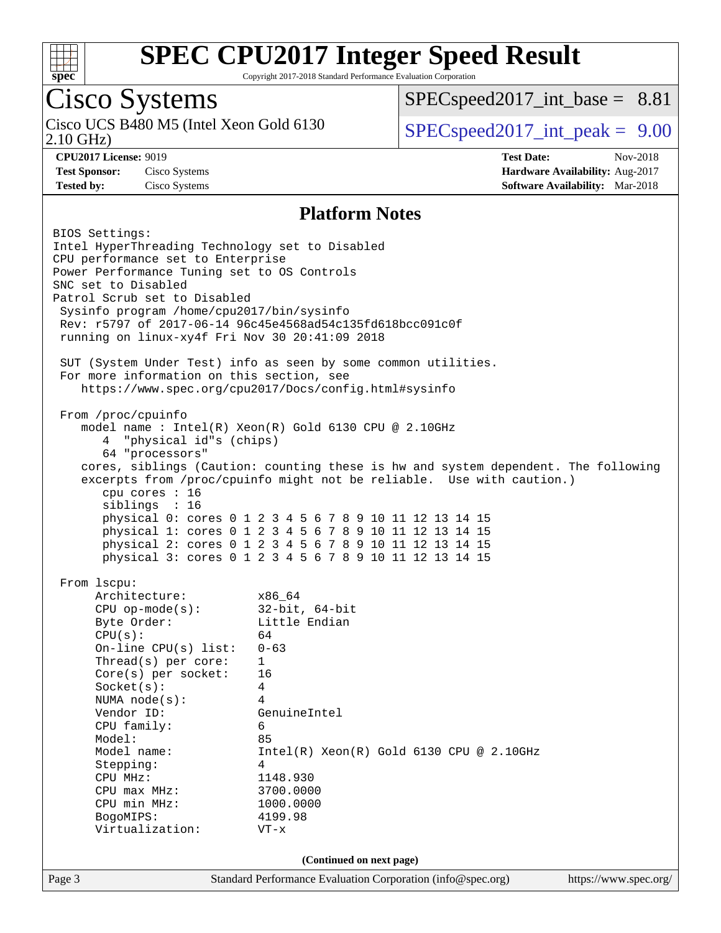

Copyright 2017-2018 Standard Performance Evaluation Corporation

## Cisco Systems

2.10 GHz) Cisco UCS B480 M5 (Intel Xeon Gold 6130  $SPECspeed2017$  int peak = 9.00

 $SPECspeed2017\_int\_base = 8.81$ 

**[CPU2017 License:](http://www.spec.org/auto/cpu2017/Docs/result-fields.html#CPU2017License)** 9019 **[Test Date:](http://www.spec.org/auto/cpu2017/Docs/result-fields.html#TestDate)** Nov-2018 **[Test Sponsor:](http://www.spec.org/auto/cpu2017/Docs/result-fields.html#TestSponsor)** Cisco Systems **[Hardware Availability:](http://www.spec.org/auto/cpu2017/Docs/result-fields.html#HardwareAvailability)** Aug-2017 **[Tested by:](http://www.spec.org/auto/cpu2017/Docs/result-fields.html#Testedby)** Cisco Systems **[Software Availability:](http://www.spec.org/auto/cpu2017/Docs/result-fields.html#SoftwareAvailability)** Mar-2018

#### **[Platform Notes](http://www.spec.org/auto/cpu2017/Docs/result-fields.html#PlatformNotes)**

Page 3 Standard Performance Evaluation Corporation [\(info@spec.org\)](mailto:info@spec.org) <https://www.spec.org/> BIOS Settings: Intel HyperThreading Technology set to Disabled CPU performance set to Enterprise Power Performance Tuning set to OS Controls SNC set to Disabled Patrol Scrub set to Disabled Sysinfo program /home/cpu2017/bin/sysinfo Rev: r5797 of 2017-06-14 96c45e4568ad54c135fd618bcc091c0f running on linux-xy4f Fri Nov 30 20:41:09 2018 SUT (System Under Test) info as seen by some common utilities. For more information on this section, see <https://www.spec.org/cpu2017/Docs/config.html#sysinfo> From /proc/cpuinfo model name : Intel(R) Xeon(R) Gold 6130 CPU @ 2.10GHz 4 "physical id"s (chips) 64 "processors" cores, siblings (Caution: counting these is hw and system dependent. The following excerpts from /proc/cpuinfo might not be reliable. Use with caution.) cpu cores : 16 siblings : 16 physical 0: cores 0 1 2 3 4 5 6 7 8 9 10 11 12 13 14 15 physical 1: cores 0 1 2 3 4 5 6 7 8 9 10 11 12 13 14 15 physical 2: cores 0 1 2 3 4 5 6 7 8 9 10 11 12 13 14 15 physical 3: cores 0 1 2 3 4 5 6 7 8 9 10 11 12 13 14 15 From lscpu: Architecture: x86\_64 CPU op-mode(s): 32-bit, 64-bit Byte Order: Little Endian  $CPU(s):$  64 On-line CPU(s) list: 0-63 Thread(s) per core: 1 Core(s) per socket: 16 Socket(s): 4 NUMA node(s): 4 Vendor ID: GenuineIntel CPU family: 6 Model: 85 Model name: Intel(R) Xeon(R) Gold 6130 CPU @ 2.10GHz Stepping: 4 CPU MHz: 1148.930<br>
CPU max MHz: 3700.0000  $CPU$  max  $MHz$ : CPU min MHz: 1000.0000 BogoMIPS: 4199.98 Virtualization: VT-x **(Continued on next page)**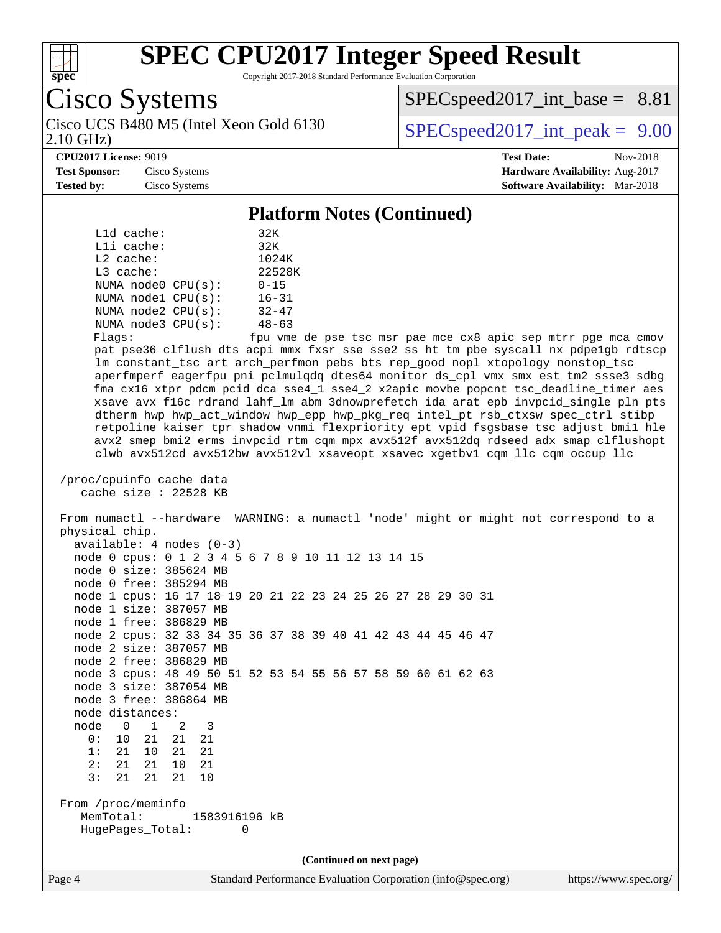

2.10 GHz)

# **[SPEC CPU2017 Integer Speed Result](http://www.spec.org/auto/cpu2017/Docs/result-fields.html#SPECCPU2017IntegerSpeedResult)**

Copyright 2017-2018 Standard Performance Evaluation Corporation

Cisco Systems

 $SPECspeed2017\_int\_base = 8.81$ 

Cisco UCS B480 M5 (Intel Xeon Gold 6130  $SPECspeed2017$  int peak = 9.00

#### **[CPU2017 License:](http://www.spec.org/auto/cpu2017/Docs/result-fields.html#CPU2017License)** 9019 **[Test Date:](http://www.spec.org/auto/cpu2017/Docs/result-fields.html#TestDate)** Nov-2018

**[Test Sponsor:](http://www.spec.org/auto/cpu2017/Docs/result-fields.html#TestSponsor)** Cisco Systems **[Hardware Availability:](http://www.spec.org/auto/cpu2017/Docs/result-fields.html#HardwareAvailability)** Aug-2017 **[Tested by:](http://www.spec.org/auto/cpu2017/Docs/result-fields.html#Testedby)** Cisco Systems **[Software Availability:](http://www.spec.org/auto/cpu2017/Docs/result-fields.html#SoftwareAvailability)** Mar-2018

#### **[Platform Notes \(Continued\)](http://www.spec.org/auto/cpu2017/Docs/result-fields.html#PlatformNotes)**

| $L1d$ cache: | 32K   |                         |           |  |
|--------------|-------|-------------------------|-----------|--|
| Lli cache:   | 32K   |                         |           |  |
| $L2$ cache:  | 1024K |                         |           |  |
| $L3$ cache:  |       | 22528K                  |           |  |
|              |       | NUMA $node0$ $CPU(s)$ : | $0 - 15$  |  |
|              |       | NUMA nodel CPU(s):      | $16 - 31$ |  |
|              |       | NUMA $node2$ $CPU(s)$ : | $32 - 47$ |  |
|              |       | NUMA node3 CPU(s):      | $48 - 63$ |  |
|              |       |                         |           |  |

Flags: fpu vme de pse tsc msr pae mce cx8 apic sep mtrr pge mca cmov pat pse36 clflush dts acpi mmx fxsr sse sse2 ss ht tm pbe syscall nx pdpe1gb rdtscp lm constant\_tsc art arch\_perfmon pebs bts rep\_good nopl xtopology nonstop\_tsc aperfmperf eagerfpu pni pclmulqdq dtes64 monitor ds\_cpl vmx smx est tm2 ssse3 sdbg fma cx16 xtpr pdcm pcid dca sse4\_1 sse4\_2 x2apic movbe popcnt tsc\_deadline\_timer aes xsave avx f16c rdrand lahf\_lm abm 3dnowprefetch ida arat epb invpcid\_single pln pts dtherm hwp hwp\_act\_window hwp\_epp hwp\_pkg\_req intel\_pt rsb\_ctxsw spec\_ctrl stibp retpoline kaiser tpr\_shadow vnmi flexpriority ept vpid fsgsbase tsc\_adjust bmi1 hle avx2 smep bmi2 erms invpcid rtm cqm mpx avx512f avx512dq rdseed adx smap clflushopt clwb avx512cd avx512bw avx512vl xsaveopt xsavec xgetbv1 cqm\_llc cqm\_occup\_llc

```
 /proc/cpuinfo cache data
    cache size : 22528 KB
```
 From numactl --hardware WARNING: a numactl 'node' might or might not correspond to a physical chip. available: 4 nodes (0-3)

|                        |           |    |                        | node 0 cpus: 0 1 2 3 4 5 6 7 8 9 10 11 12 13 14 15           |  |  |  |  |                          |  |  |  |  |
|------------------------|-----------|----|------------------------|--------------------------------------------------------------|--|--|--|--|--------------------------|--|--|--|--|
|                        |           |    | node 0 size: 385624 MB |                                                              |  |  |  |  |                          |  |  |  |  |
| node 0 free: 385294 MB |           |    |                        |                                                              |  |  |  |  |                          |  |  |  |  |
|                        |           |    |                        | node 1 cpus: 16 17 18 19 20 21 22 23 24 25 26 27 28 29 30 31 |  |  |  |  |                          |  |  |  |  |
| node 1 size: 387057 MB |           |    |                        |                                                              |  |  |  |  |                          |  |  |  |  |
| node 1 free: 386829 MB |           |    |                        |                                                              |  |  |  |  |                          |  |  |  |  |
|                        |           |    |                        | node 2 cpus: 32 33 34 35 36 37 38 39 40 41 42 43 44 45 46 47 |  |  |  |  |                          |  |  |  |  |
| node 2 size: 387057 MB |           |    |                        |                                                              |  |  |  |  |                          |  |  |  |  |
| node 2 free: 386829 MB |           |    |                        |                                                              |  |  |  |  |                          |  |  |  |  |
|                        |           |    |                        | node 3 cpus: 48 49 50 51 52 53 54 55 56 57 58 59 60 61 62 63 |  |  |  |  |                          |  |  |  |  |
| node 3 size: 387054 MB |           |    |                        |                                                              |  |  |  |  |                          |  |  |  |  |
| node 3 free: 386864 MB |           |    |                        |                                                              |  |  |  |  |                          |  |  |  |  |
| node distances:        |           |    |                        |                                                              |  |  |  |  |                          |  |  |  |  |
| node                   |           |    | 0 1 2 3                |                                                              |  |  |  |  |                          |  |  |  |  |
| 0:                     |           |    | 10 21 21 21            |                                                              |  |  |  |  |                          |  |  |  |  |
| 1:                     | 2.1       | 10 | 2.1                    | 2.1                                                          |  |  |  |  |                          |  |  |  |  |
| 2:                     | 21        | 21 | 10                     | 2.1                                                          |  |  |  |  |                          |  |  |  |  |
| 3:                     | 21        | 21 | 21                     | 10                                                           |  |  |  |  |                          |  |  |  |  |
| From /proc/meminfo     |           |    |                        |                                                              |  |  |  |  |                          |  |  |  |  |
|                        | MemTotal: |    |                        | 1583916196 kB                                                |  |  |  |  |                          |  |  |  |  |
| HugePages Total:<br>0  |           |    |                        |                                                              |  |  |  |  |                          |  |  |  |  |
|                        |           |    |                        |                                                              |  |  |  |  |                          |  |  |  |  |
|                        |           |    |                        |                                                              |  |  |  |  | (Continued on next page) |  |  |  |  |

Page 4 Standard Performance Evaluation Corporation [\(info@spec.org\)](mailto:info@spec.org) <https://www.spec.org/>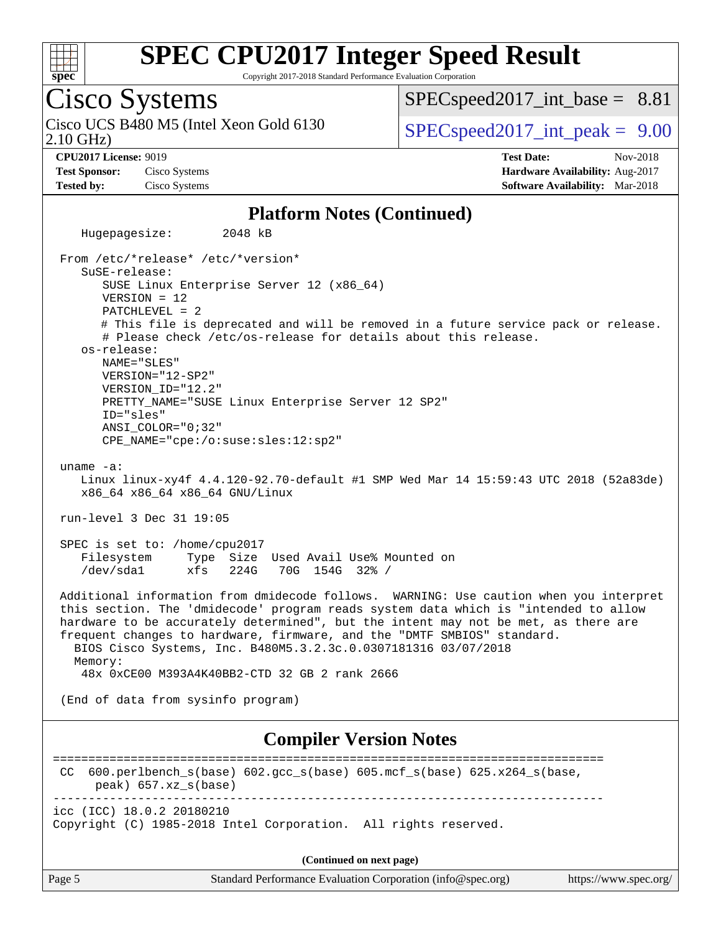

Copyright 2017-2018 Standard Performance Evaluation Corporation

## Cisco Systems

2.10 GHz) Cisco UCS B480 M5 (Intel Xeon Gold 6130  $SPECspeed2017$  int peak = 9.00

 $SPECspeed2017\_int\_base = 8.81$ 

**[CPU2017 License:](http://www.spec.org/auto/cpu2017/Docs/result-fields.html#CPU2017License)** 9019 **[Test Date:](http://www.spec.org/auto/cpu2017/Docs/result-fields.html#TestDate)** Nov-2018 **[Test Sponsor:](http://www.spec.org/auto/cpu2017/Docs/result-fields.html#TestSponsor)** Cisco Systems **[Hardware Availability:](http://www.spec.org/auto/cpu2017/Docs/result-fields.html#HardwareAvailability)** Aug-2017 **[Tested by:](http://www.spec.org/auto/cpu2017/Docs/result-fields.html#Testedby)** Cisco Systems **[Software Availability:](http://www.spec.org/auto/cpu2017/Docs/result-fields.html#SoftwareAvailability)** Mar-2018

#### **[Platform Notes \(Continued\)](http://www.spec.org/auto/cpu2017/Docs/result-fields.html#PlatformNotes)**

 Hugepagesize: 2048 kB From /etc/\*release\* /etc/\*version\* SuSE-release: SUSE Linux Enterprise Server 12 (x86\_64) VERSION = 12 PATCHLEVEL = 2 # This file is deprecated and will be removed in a future service pack or release. # Please check /etc/os-release for details about this release. os-release: NAME="SLES" VERSION="12-SP2" VERSION\_ID="12.2" PRETTY\_NAME="SUSE Linux Enterprise Server 12 SP2" ID="sles" ANSI\_COLOR="0;32" CPE\_NAME="cpe:/o:suse:sles:12:sp2" uname -a: Linux linux-xy4f 4.4.120-92.70-default #1 SMP Wed Mar 14 15:59:43 UTC 2018 (52a83de) x86\_64 x86\_64 x86\_64 GNU/Linux run-level 3 Dec 31 19:05 SPEC is set to: /home/cpu2017 Filesystem Type Size Used Avail Use% Mounted on /dev/sda1 xfs 224G 70G 154G 32% / Additional information from dmidecode follows. WARNING: Use caution when you interpret this section. The 'dmidecode' program reads system data which is "intended to allow hardware to be accurately determined", but the intent may not be met, as there are frequent changes to hardware, firmware, and the "DMTF SMBIOS" standard. BIOS Cisco Systems, Inc. B480M5.3.2.3c.0.0307181316 03/07/2018 Memory: 48x 0xCE00 M393A4K40BB2-CTD 32 GB 2 rank 2666 (End of data from sysinfo program) **[Compiler Version Notes](http://www.spec.org/auto/cpu2017/Docs/result-fields.html#CompilerVersionNotes)** ============================================================================== CC 600.perlbench\_s(base) 602.gcc\_s(base) 605.mcf\_s(base) 625.x264\_s(base, peak) 657.xz\_s(base) ----------------------------------------------------------------------------- icc (ICC) 18.0.2 20180210 Copyright (C) 1985-2018 Intel Corporation. All rights reserved. **(Continued on next page)**

Page 5 Standard Performance Evaluation Corporation [\(info@spec.org\)](mailto:info@spec.org) <https://www.spec.org/>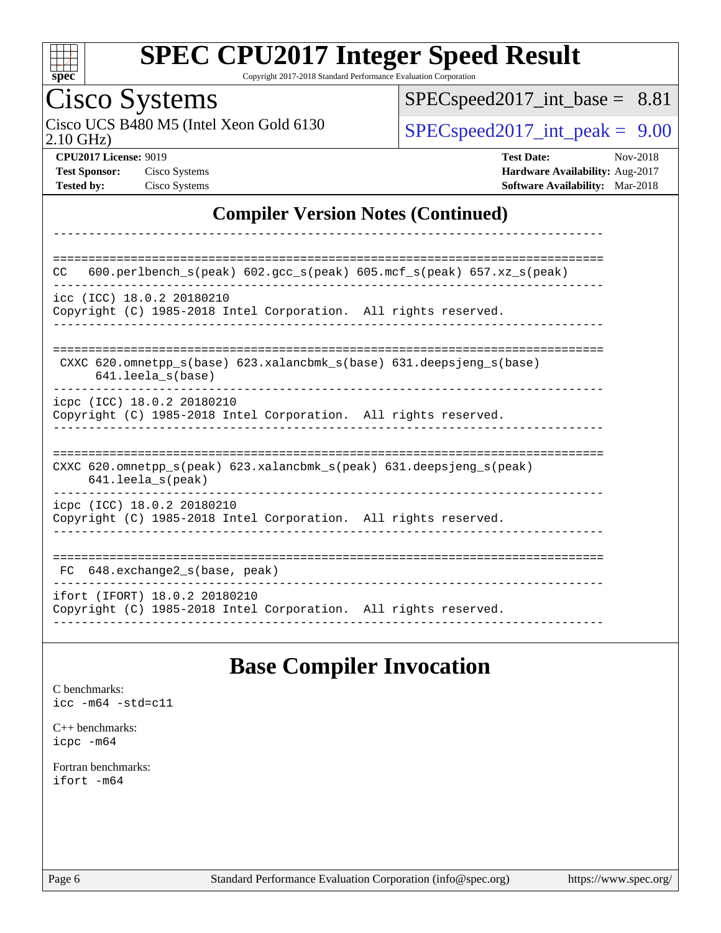

Copyright 2017-2018 Standard Performance Evaluation Corporation

## Cisco Systems

2.10 GHz) Cisco UCS B480 M5 (Intel Xeon Gold 6130  $SPECspeed2017\_int\_peak = 9.00$ 

[SPECspeed2017\\_int\\_base =](http://www.spec.org/auto/cpu2017/Docs/result-fields.html#SPECspeed2017intbase) 8.81

**[CPU2017 License:](http://www.spec.org/auto/cpu2017/Docs/result-fields.html#CPU2017License)** 9019 **[Test Date:](http://www.spec.org/auto/cpu2017/Docs/result-fields.html#TestDate)** Nov-2018 **[Test Sponsor:](http://www.spec.org/auto/cpu2017/Docs/result-fields.html#TestSponsor)** Cisco Systems **[Hardware Availability:](http://www.spec.org/auto/cpu2017/Docs/result-fields.html#HardwareAvailability)** Aug-2017 **[Tested by:](http://www.spec.org/auto/cpu2017/Docs/result-fields.html#Testedby)** Cisco Systems **[Software Availability:](http://www.spec.org/auto/cpu2017/Docs/result-fields.html#SoftwareAvailability)** Mar-2018

#### **[Compiler Version Notes \(Continued\)](http://www.spec.org/auto/cpu2017/Docs/result-fields.html#CompilerVersionNotes)**

| 600.perlbench $s$ (peak) 602.gcc $s$ (peak) 605.mcf $s$ (peak) 657.xz $s$ (peak)<br><b>CC</b>                              |
|----------------------------------------------------------------------------------------------------------------------------|
| icc (ICC) 18.0.2 20180210<br>Copyright (C) 1985-2018 Intel Corporation. All rights reserved.                               |
| CXXC 620.omnetpp $s(base)$ 623.xalancbmk $s(base)$ 631.deepsjeng $s(base)$<br>$641.$ leela $s$ (base)                      |
| icpc (ICC) 18.0.2 20180210<br>Copyright (C) 1985-2018 Intel Corporation. All rights reserved.                              |
| CXXC 620.omnetpp $s(\text{peak})$ 623.xalancbmk $s(\text{peak})$ 631.deepsjeng $s(\text{peak})$<br>$641.$ leela $s$ (peak) |
| icpc (ICC) 18.0.2 20180210<br>Copyright (C) 1985-2018 Intel Corporation. All rights reserved.                              |
| 648.exchange2 s(base, peak)<br>FC.                                                                                         |
| ifort (IFORT) 18.0.2 20180210<br>Copyright (C) 1985-2018 Intel Corporation. All rights reserved.                           |

### **[Base Compiler Invocation](http://www.spec.org/auto/cpu2017/Docs/result-fields.html#BaseCompilerInvocation)**

[C benchmarks](http://www.spec.org/auto/cpu2017/Docs/result-fields.html#Cbenchmarks): [icc -m64 -std=c11](http://www.spec.org/cpu2017/results/res2018q4/cpu2017-20181211-10299.flags.html#user_CCbase_intel_icc_64bit_c11_33ee0cdaae7deeeab2a9725423ba97205ce30f63b9926c2519791662299b76a0318f32ddfffdc46587804de3178b4f9328c46fa7c2b0cd779d7a61945c91cd35)

[C++ benchmarks:](http://www.spec.org/auto/cpu2017/Docs/result-fields.html#CXXbenchmarks) [icpc -m64](http://www.spec.org/cpu2017/results/res2018q4/cpu2017-20181211-10299.flags.html#user_CXXbase_intel_icpc_64bit_4ecb2543ae3f1412ef961e0650ca070fec7b7afdcd6ed48761b84423119d1bf6bdf5cad15b44d48e7256388bc77273b966e5eb805aefd121eb22e9299b2ec9d9)

[Fortran benchmarks](http://www.spec.org/auto/cpu2017/Docs/result-fields.html#Fortranbenchmarks): [ifort -m64](http://www.spec.org/cpu2017/results/res2018q4/cpu2017-20181211-10299.flags.html#user_FCbase_intel_ifort_64bit_24f2bb282fbaeffd6157abe4f878425411749daecae9a33200eee2bee2fe76f3b89351d69a8130dd5949958ce389cf37ff59a95e7a40d588e8d3a57e0c3fd751)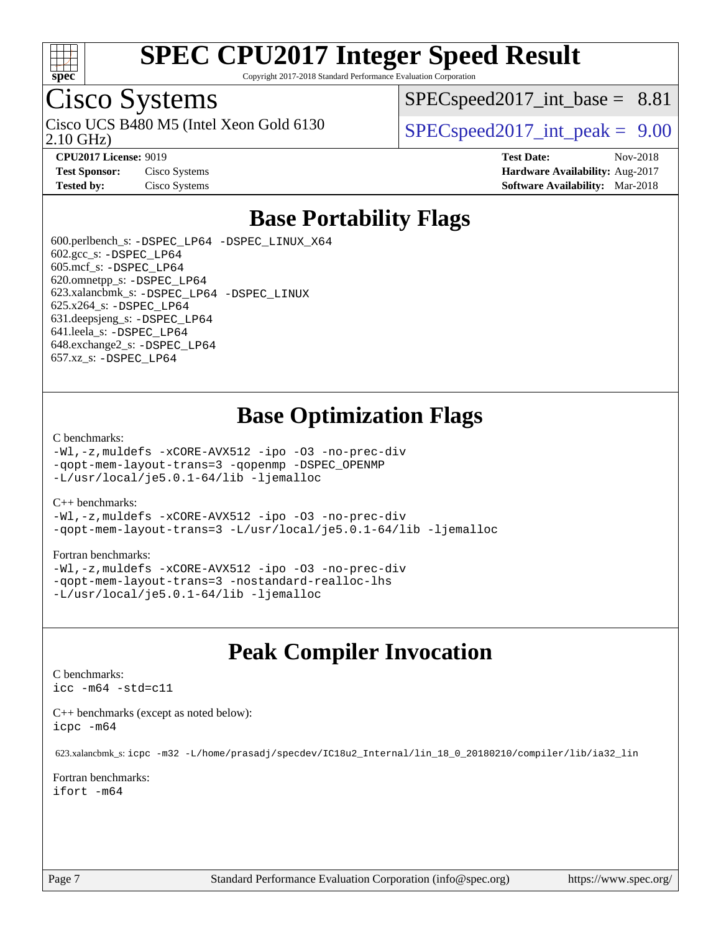

Copyright 2017-2018 Standard Performance Evaluation Corporation

## Cisco Systems

2.10 GHz) Cisco UCS B480 M5 (Intel Xeon Gold 6130  $SPECspeed2017$  int peak = 9.00

 $SPECspeed2017\_int\_base = 8.81$ 

**[CPU2017 License:](http://www.spec.org/auto/cpu2017/Docs/result-fields.html#CPU2017License)** 9019 **[Test Date:](http://www.spec.org/auto/cpu2017/Docs/result-fields.html#TestDate)** Nov-2018 **[Test Sponsor:](http://www.spec.org/auto/cpu2017/Docs/result-fields.html#TestSponsor)** Cisco Systems **[Hardware Availability:](http://www.spec.org/auto/cpu2017/Docs/result-fields.html#HardwareAvailability)** Aug-2017 **[Tested by:](http://www.spec.org/auto/cpu2017/Docs/result-fields.html#Testedby)** Cisco Systems **[Software Availability:](http://www.spec.org/auto/cpu2017/Docs/result-fields.html#SoftwareAvailability)** Mar-2018

### **[Base Portability Flags](http://www.spec.org/auto/cpu2017/Docs/result-fields.html#BasePortabilityFlags)**

 600.perlbench\_s: [-DSPEC\\_LP64](http://www.spec.org/cpu2017/results/res2018q4/cpu2017-20181211-10299.flags.html#b600.perlbench_s_basePORTABILITY_DSPEC_LP64) [-DSPEC\\_LINUX\\_X64](http://www.spec.org/cpu2017/results/res2018q4/cpu2017-20181211-10299.flags.html#b600.perlbench_s_baseCPORTABILITY_DSPEC_LINUX_X64) 602.gcc\_s: [-DSPEC\\_LP64](http://www.spec.org/cpu2017/results/res2018q4/cpu2017-20181211-10299.flags.html#suite_basePORTABILITY602_gcc_s_DSPEC_LP64) 605.mcf\_s: [-DSPEC\\_LP64](http://www.spec.org/cpu2017/results/res2018q4/cpu2017-20181211-10299.flags.html#suite_basePORTABILITY605_mcf_s_DSPEC_LP64) 620.omnetpp\_s: [-DSPEC\\_LP64](http://www.spec.org/cpu2017/results/res2018q4/cpu2017-20181211-10299.flags.html#suite_basePORTABILITY620_omnetpp_s_DSPEC_LP64) 623.xalancbmk\_s: [-DSPEC\\_LP64](http://www.spec.org/cpu2017/results/res2018q4/cpu2017-20181211-10299.flags.html#suite_basePORTABILITY623_xalancbmk_s_DSPEC_LP64) [-DSPEC\\_LINUX](http://www.spec.org/cpu2017/results/res2018q4/cpu2017-20181211-10299.flags.html#b623.xalancbmk_s_baseCXXPORTABILITY_DSPEC_LINUX) 625.x264\_s: [-DSPEC\\_LP64](http://www.spec.org/cpu2017/results/res2018q4/cpu2017-20181211-10299.flags.html#suite_basePORTABILITY625_x264_s_DSPEC_LP64) 631.deepsjeng\_s: [-DSPEC\\_LP64](http://www.spec.org/cpu2017/results/res2018q4/cpu2017-20181211-10299.flags.html#suite_basePORTABILITY631_deepsjeng_s_DSPEC_LP64) 641.leela\_s: [-DSPEC\\_LP64](http://www.spec.org/cpu2017/results/res2018q4/cpu2017-20181211-10299.flags.html#suite_basePORTABILITY641_leela_s_DSPEC_LP64) 648.exchange2\_s: [-DSPEC\\_LP64](http://www.spec.org/cpu2017/results/res2018q4/cpu2017-20181211-10299.flags.html#suite_basePORTABILITY648_exchange2_s_DSPEC_LP64) 657.xz\_s: [-DSPEC\\_LP64](http://www.spec.org/cpu2017/results/res2018q4/cpu2017-20181211-10299.flags.html#suite_basePORTABILITY657_xz_s_DSPEC_LP64)

### **[Base Optimization Flags](http://www.spec.org/auto/cpu2017/Docs/result-fields.html#BaseOptimizationFlags)**

#### [C benchmarks](http://www.spec.org/auto/cpu2017/Docs/result-fields.html#Cbenchmarks):

[-Wl,-z,muldefs](http://www.spec.org/cpu2017/results/res2018q4/cpu2017-20181211-10299.flags.html#user_CCbase_link_force_multiple1_b4cbdb97b34bdee9ceefcfe54f4c8ea74255f0b02a4b23e853cdb0e18eb4525ac79b5a88067c842dd0ee6996c24547a27a4b99331201badda8798ef8a743f577) [-xCORE-AVX512](http://www.spec.org/cpu2017/results/res2018q4/cpu2017-20181211-10299.flags.html#user_CCbase_f-xCORE-AVX512) [-ipo](http://www.spec.org/cpu2017/results/res2018q4/cpu2017-20181211-10299.flags.html#user_CCbase_f-ipo) [-O3](http://www.spec.org/cpu2017/results/res2018q4/cpu2017-20181211-10299.flags.html#user_CCbase_f-O3) [-no-prec-div](http://www.spec.org/cpu2017/results/res2018q4/cpu2017-20181211-10299.flags.html#user_CCbase_f-no-prec-div) [-qopt-mem-layout-trans=3](http://www.spec.org/cpu2017/results/res2018q4/cpu2017-20181211-10299.flags.html#user_CCbase_f-qopt-mem-layout-trans_de80db37974c74b1f0e20d883f0b675c88c3b01e9d123adea9b28688d64333345fb62bc4a798493513fdb68f60282f9a726aa07f478b2f7113531aecce732043) [-qopenmp](http://www.spec.org/cpu2017/results/res2018q4/cpu2017-20181211-10299.flags.html#user_CCbase_qopenmp_16be0c44f24f464004c6784a7acb94aca937f053568ce72f94b139a11c7c168634a55f6653758ddd83bcf7b8463e8028bb0b48b77bcddc6b78d5d95bb1df2967) [-DSPEC\\_OPENMP](http://www.spec.org/cpu2017/results/res2018q4/cpu2017-20181211-10299.flags.html#suite_CCbase_DSPEC_OPENMP) [-L/usr/local/je5.0.1-64/lib](http://www.spec.org/cpu2017/results/res2018q4/cpu2017-20181211-10299.flags.html#user_CCbase_jemalloc_link_path64_4b10a636b7bce113509b17f3bd0d6226c5fb2346b9178c2d0232c14f04ab830f976640479e5c33dc2bcbbdad86ecfb6634cbbd4418746f06f368b512fced5394) [-ljemalloc](http://www.spec.org/cpu2017/results/res2018q4/cpu2017-20181211-10299.flags.html#user_CCbase_jemalloc_link_lib_d1249b907c500fa1c0672f44f562e3d0f79738ae9e3c4a9c376d49f265a04b9c99b167ecedbf6711b3085be911c67ff61f150a17b3472be731631ba4d0471706)

#### [C++ benchmarks:](http://www.spec.org/auto/cpu2017/Docs/result-fields.html#CXXbenchmarks)

[-Wl,-z,muldefs](http://www.spec.org/cpu2017/results/res2018q4/cpu2017-20181211-10299.flags.html#user_CXXbase_link_force_multiple1_b4cbdb97b34bdee9ceefcfe54f4c8ea74255f0b02a4b23e853cdb0e18eb4525ac79b5a88067c842dd0ee6996c24547a27a4b99331201badda8798ef8a743f577) [-xCORE-AVX512](http://www.spec.org/cpu2017/results/res2018q4/cpu2017-20181211-10299.flags.html#user_CXXbase_f-xCORE-AVX512) [-ipo](http://www.spec.org/cpu2017/results/res2018q4/cpu2017-20181211-10299.flags.html#user_CXXbase_f-ipo) [-O3](http://www.spec.org/cpu2017/results/res2018q4/cpu2017-20181211-10299.flags.html#user_CXXbase_f-O3) [-no-prec-div](http://www.spec.org/cpu2017/results/res2018q4/cpu2017-20181211-10299.flags.html#user_CXXbase_f-no-prec-div) [-qopt-mem-layout-trans=3](http://www.spec.org/cpu2017/results/res2018q4/cpu2017-20181211-10299.flags.html#user_CXXbase_f-qopt-mem-layout-trans_de80db37974c74b1f0e20d883f0b675c88c3b01e9d123adea9b28688d64333345fb62bc4a798493513fdb68f60282f9a726aa07f478b2f7113531aecce732043) [-L/usr/local/je5.0.1-64/lib](http://www.spec.org/cpu2017/results/res2018q4/cpu2017-20181211-10299.flags.html#user_CXXbase_jemalloc_link_path64_4b10a636b7bce113509b17f3bd0d6226c5fb2346b9178c2d0232c14f04ab830f976640479e5c33dc2bcbbdad86ecfb6634cbbd4418746f06f368b512fced5394) [-ljemalloc](http://www.spec.org/cpu2017/results/res2018q4/cpu2017-20181211-10299.flags.html#user_CXXbase_jemalloc_link_lib_d1249b907c500fa1c0672f44f562e3d0f79738ae9e3c4a9c376d49f265a04b9c99b167ecedbf6711b3085be911c67ff61f150a17b3472be731631ba4d0471706)

#### [Fortran benchmarks](http://www.spec.org/auto/cpu2017/Docs/result-fields.html#Fortranbenchmarks):

[-Wl,-z,muldefs](http://www.spec.org/cpu2017/results/res2018q4/cpu2017-20181211-10299.flags.html#user_FCbase_link_force_multiple1_b4cbdb97b34bdee9ceefcfe54f4c8ea74255f0b02a4b23e853cdb0e18eb4525ac79b5a88067c842dd0ee6996c24547a27a4b99331201badda8798ef8a743f577) [-xCORE-AVX512](http://www.spec.org/cpu2017/results/res2018q4/cpu2017-20181211-10299.flags.html#user_FCbase_f-xCORE-AVX512) [-ipo](http://www.spec.org/cpu2017/results/res2018q4/cpu2017-20181211-10299.flags.html#user_FCbase_f-ipo) [-O3](http://www.spec.org/cpu2017/results/res2018q4/cpu2017-20181211-10299.flags.html#user_FCbase_f-O3) [-no-prec-div](http://www.spec.org/cpu2017/results/res2018q4/cpu2017-20181211-10299.flags.html#user_FCbase_f-no-prec-div) [-qopt-mem-layout-trans=3](http://www.spec.org/cpu2017/results/res2018q4/cpu2017-20181211-10299.flags.html#user_FCbase_f-qopt-mem-layout-trans_de80db37974c74b1f0e20d883f0b675c88c3b01e9d123adea9b28688d64333345fb62bc4a798493513fdb68f60282f9a726aa07f478b2f7113531aecce732043) [-nostandard-realloc-lhs](http://www.spec.org/cpu2017/results/res2018q4/cpu2017-20181211-10299.flags.html#user_FCbase_f_2003_std_realloc_82b4557e90729c0f113870c07e44d33d6f5a304b4f63d4c15d2d0f1fab99f5daaed73bdb9275d9ae411527f28b936061aa8b9c8f2d63842963b95c9dd6426b8a) [-L/usr/local/je5.0.1-64/lib](http://www.spec.org/cpu2017/results/res2018q4/cpu2017-20181211-10299.flags.html#user_FCbase_jemalloc_link_path64_4b10a636b7bce113509b17f3bd0d6226c5fb2346b9178c2d0232c14f04ab830f976640479e5c33dc2bcbbdad86ecfb6634cbbd4418746f06f368b512fced5394) [-ljemalloc](http://www.spec.org/cpu2017/results/res2018q4/cpu2017-20181211-10299.flags.html#user_FCbase_jemalloc_link_lib_d1249b907c500fa1c0672f44f562e3d0f79738ae9e3c4a9c376d49f265a04b9c99b167ecedbf6711b3085be911c67ff61f150a17b3472be731631ba4d0471706)

### **[Peak Compiler Invocation](http://www.spec.org/auto/cpu2017/Docs/result-fields.html#PeakCompilerInvocation)**

#### [C benchmarks](http://www.spec.org/auto/cpu2017/Docs/result-fields.html#Cbenchmarks):

[icc -m64 -std=c11](http://www.spec.org/cpu2017/results/res2018q4/cpu2017-20181211-10299.flags.html#user_CCpeak_intel_icc_64bit_c11_33ee0cdaae7deeeab2a9725423ba97205ce30f63b9926c2519791662299b76a0318f32ddfffdc46587804de3178b4f9328c46fa7c2b0cd779d7a61945c91cd35)

[C++ benchmarks \(except as noted below\):](http://www.spec.org/auto/cpu2017/Docs/result-fields.html#CXXbenchmarksexceptasnotedbelow) [icpc -m64](http://www.spec.org/cpu2017/results/res2018q4/cpu2017-20181211-10299.flags.html#user_CXXpeak_intel_icpc_64bit_4ecb2543ae3f1412ef961e0650ca070fec7b7afdcd6ed48761b84423119d1bf6bdf5cad15b44d48e7256388bc77273b966e5eb805aefd121eb22e9299b2ec9d9)

623.xalancbmk\_s: [icpc -m32 -L/home/prasadj/specdev/IC18u2\\_Internal/lin\\_18\\_0\\_20180210/compiler/lib/ia32\\_lin](http://www.spec.org/cpu2017/results/res2018q4/cpu2017-20181211-10299.flags.html#user_peakCXXLD623_xalancbmk_s_intel_icpc_c6d030cd79af6ea7d6fb64c57e8fe7ae8fe0b96fc5a3b3f4a10e3273b3d7fa9decd8263f6330cef23f751cb093a69fae84a2bf4c243500a8eed069248128076f)

[Fortran benchmarks](http://www.spec.org/auto/cpu2017/Docs/result-fields.html#Fortranbenchmarks): [ifort -m64](http://www.spec.org/cpu2017/results/res2018q4/cpu2017-20181211-10299.flags.html#user_FCpeak_intel_ifort_64bit_24f2bb282fbaeffd6157abe4f878425411749daecae9a33200eee2bee2fe76f3b89351d69a8130dd5949958ce389cf37ff59a95e7a40d588e8d3a57e0c3fd751)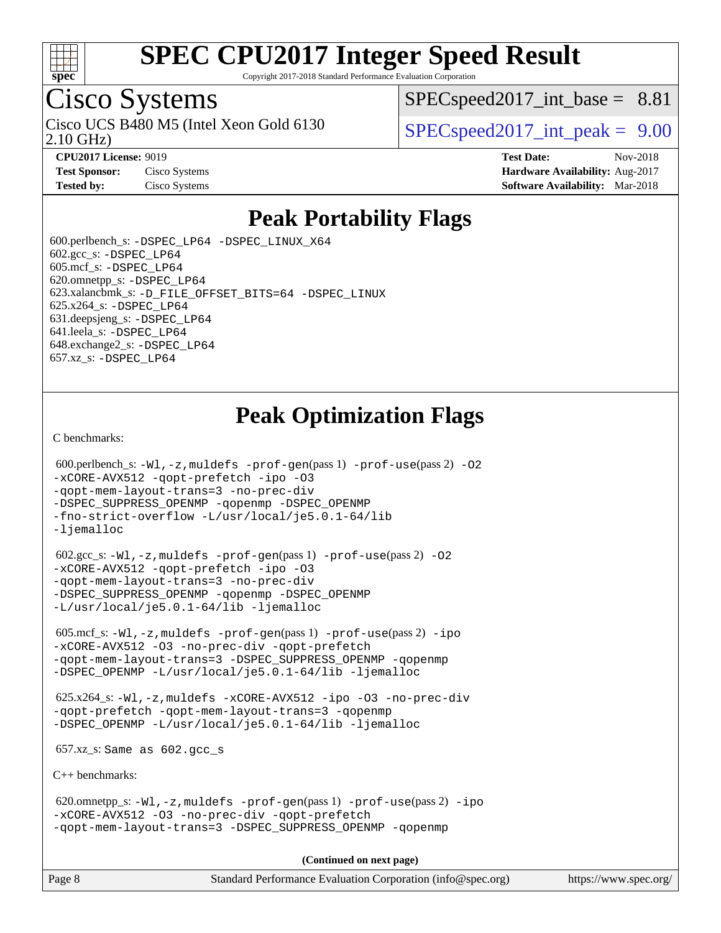

Copyright 2017-2018 Standard Performance Evaluation Corporation

## Cisco Systems

2.10 GHz) Cisco UCS B480 M5 (Intel Xeon Gold 6130  $SPECspeed2017$  int peak = 9.00

 $SPECspeed2017\_int\_base = 8.81$ 

**[CPU2017 License:](http://www.spec.org/auto/cpu2017/Docs/result-fields.html#CPU2017License)** 9019 **[Test Date:](http://www.spec.org/auto/cpu2017/Docs/result-fields.html#TestDate)** Nov-2018 **[Test Sponsor:](http://www.spec.org/auto/cpu2017/Docs/result-fields.html#TestSponsor)** Cisco Systems **Cisco Systems [Hardware Availability:](http://www.spec.org/auto/cpu2017/Docs/result-fields.html#HardwareAvailability)** Aug-2017 **[Tested by:](http://www.spec.org/auto/cpu2017/Docs/result-fields.html#Testedby)** Cisco Systems **[Software Availability:](http://www.spec.org/auto/cpu2017/Docs/result-fields.html#SoftwareAvailability)** Mar-2018

### **[Peak Portability Flags](http://www.spec.org/auto/cpu2017/Docs/result-fields.html#PeakPortabilityFlags)**

 600.perlbench\_s: [-DSPEC\\_LP64](http://www.spec.org/cpu2017/results/res2018q4/cpu2017-20181211-10299.flags.html#b600.perlbench_s_peakPORTABILITY_DSPEC_LP64) [-DSPEC\\_LINUX\\_X64](http://www.spec.org/cpu2017/results/res2018q4/cpu2017-20181211-10299.flags.html#b600.perlbench_s_peakCPORTABILITY_DSPEC_LINUX_X64)  $602.\text{gcc}\$ s:  $-DSPEC$  LP64 605.mcf\_s: [-DSPEC\\_LP64](http://www.spec.org/cpu2017/results/res2018q4/cpu2017-20181211-10299.flags.html#suite_peakPORTABILITY605_mcf_s_DSPEC_LP64) 620.omnetpp\_s: [-DSPEC\\_LP64](http://www.spec.org/cpu2017/results/res2018q4/cpu2017-20181211-10299.flags.html#suite_peakPORTABILITY620_omnetpp_s_DSPEC_LP64) 623.xalancbmk\_s: [-D\\_FILE\\_OFFSET\\_BITS=64](http://www.spec.org/cpu2017/results/res2018q4/cpu2017-20181211-10299.flags.html#user_peakPORTABILITY623_xalancbmk_s_file_offset_bits_64_5ae949a99b284ddf4e95728d47cb0843d81b2eb0e18bdfe74bbf0f61d0b064f4bda2f10ea5eb90e1dcab0e84dbc592acfc5018bc955c18609f94ddb8d550002c) [-DSPEC\\_LINUX](http://www.spec.org/cpu2017/results/res2018q4/cpu2017-20181211-10299.flags.html#b623.xalancbmk_s_peakCXXPORTABILITY_DSPEC_LINUX) 625.x264\_s: [-DSPEC\\_LP64](http://www.spec.org/cpu2017/results/res2018q4/cpu2017-20181211-10299.flags.html#suite_peakPORTABILITY625_x264_s_DSPEC_LP64) 631.deepsjeng\_s: [-DSPEC\\_LP64](http://www.spec.org/cpu2017/results/res2018q4/cpu2017-20181211-10299.flags.html#suite_peakPORTABILITY631_deepsjeng_s_DSPEC_LP64) 641.leela\_s: [-DSPEC\\_LP64](http://www.spec.org/cpu2017/results/res2018q4/cpu2017-20181211-10299.flags.html#suite_peakPORTABILITY641_leela_s_DSPEC_LP64) 648.exchange2\_s: [-DSPEC\\_LP64](http://www.spec.org/cpu2017/results/res2018q4/cpu2017-20181211-10299.flags.html#suite_peakPORTABILITY648_exchange2_s_DSPEC_LP64) 657.xz\_s: [-DSPEC\\_LP64](http://www.spec.org/cpu2017/results/res2018q4/cpu2017-20181211-10299.flags.html#suite_peakPORTABILITY657_xz_s_DSPEC_LP64)

## **[Peak Optimization Flags](http://www.spec.org/auto/cpu2017/Docs/result-fields.html#PeakOptimizationFlags)**

[C benchmarks](http://www.spec.org/auto/cpu2017/Docs/result-fields.html#Cbenchmarks):

```
600.perlbench_s: -W1-prof-gen-prof-use(pass 2) -02
-xCORE-AVX512 -qopt-prefetch -ipo -O3
-qopt-mem-layout-trans=3 -no-prec-div
-DSPEC_SUPPRESS_OPENMP -qopenmp -DSPEC_OPENMP
-fno-strict-overflow -L/usr/local/je5.0.1-64/lib
-ljemalloc
 602.gcc_s: -Wl,-z,muldefs -prof-gen(pass 1) -prof-use(pass 2) -O2
-xCORE-AVX512 -qopt-prefetch -ipo -O3
-qopt-mem-layout-trans=3 -no-prec-div
-DSPEC_SUPPRESS_OPENMP -qopenmp -DSPEC_OPENMP
-L/usr/local/je5.0.1-64/lib -ljemalloc
 605.mcf_s: -Wl,-z,muldefs -prof-gen(pass 1) -prof-use(pass 2) -ipo
-xCORE-AVX512 -O3 -no-prec-div -qopt-prefetch
-qopt-mem-layout-trans=3 -DSPEC_SUPPRESS_OPENMP -qopenmp
-DSPEC_OPENMP -L/usr/local/je5.0.1-64/lib -ljemalloc
 625.x264_s: -Wl,-z,muldefs -xCORE-AVX512 -ipo -O3 -no-prec-div
-qopt-prefetch -qopt-mem-layout-trans=3 -qopenmp
-DSPEC_OPENMP -L/usr/local/je5.0.1-64/lib -ljemalloc
 657.xz_s: Same as 602.gcc_s
C++ benchmarks: 
 620.omnetpp_s: -Wl,-z,muldefs -prof-gen(pass 1) -prof-use(pass 2) -ipo
-xCORE-AVX512 -O3 -no-prec-div -qopt-prefetch
-qopt-mem-layout-trans=3 -DSPEC_SUPPRESS_OPENMP -qopenmp
                                     (Continued on next page)
```
Page 8 Standard Performance Evaluation Corporation [\(info@spec.org\)](mailto:info@spec.org) <https://www.spec.org/>